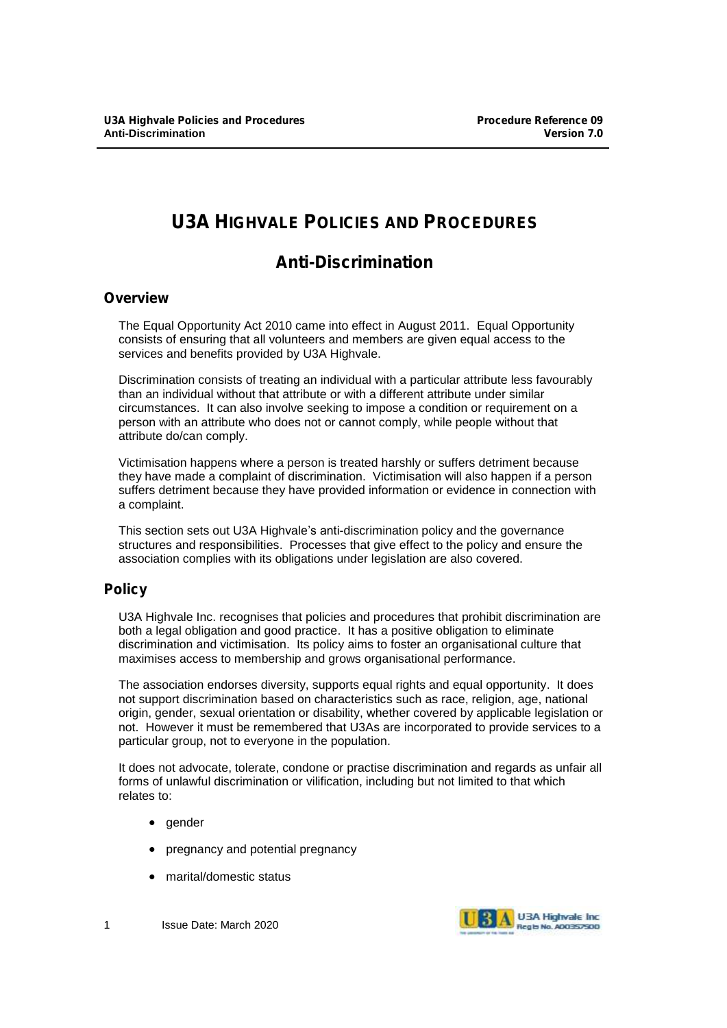# **U3A HIGHVALE POLICIES AND PROCEDURES**

# **Anti-Discrimination**

## **Overview**

The Equal Opportunity Act 2010 came into effect in August 2011. Equal Opportunity consists of ensuring that all volunteers and members are given equal access to the services and benefits provided by U3A Highvale.

Discrimination consists of treating an individual with a particular attribute less favourably than an individual without that attribute or with a different attribute under similar circumstances. It can also involve seeking to impose a condition or requirement on a person with an attribute who does not or cannot comply, while people without that attribute do/can comply.

Victimisation happens where a person is treated harshly or suffers detriment because they have made a complaint of discrimination. Victimisation will also happen if a person suffers detriment because they have provided information or evidence in connection with a complaint.

This section sets out U3A Highvale's anti-discrimination policy and the governance structures and responsibilities. Processes that give effect to the policy and ensure the association complies with its obligations under legislation are also covered.

# **Policy**

U3A Highvale Inc. recognises that policies and procedures that prohibit discrimination are both a legal obligation and good practice. It has a positive obligation to eliminate discrimination and victimisation. Its policy aims to foster an organisational culture that maximises access to membership and grows organisational performance.

The association endorses diversity, supports equal rights and equal opportunity. It does not support discrimination based on characteristics such as race, religion, age, national origin, gender, sexual orientation or disability, whether covered by applicable legislation or not. However it must be remembered that U3As are incorporated to provide services to a particular group, not to everyone in the population.

It does not advocate, tolerate, condone or practise discrimination and regards as unfair all forms of unlawful discrimination or vilification, including but not limited to that which relates to:

- gender
- pregnancy and potential pregnancy
- marital/domestic status

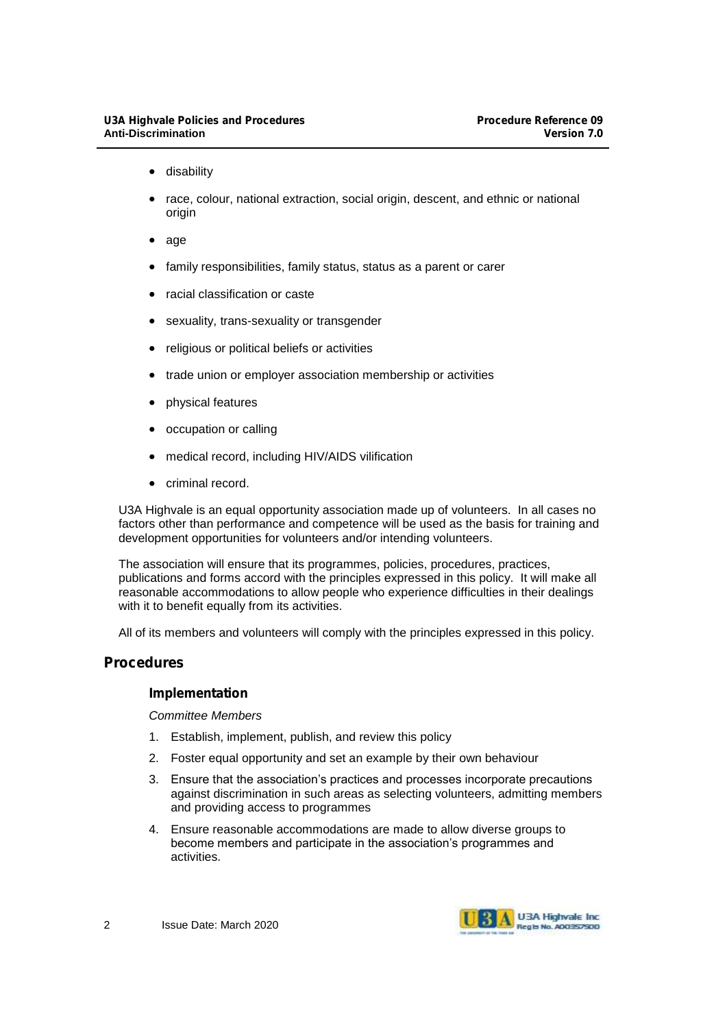- disability
- race, colour, national extraction, social origin, descent, and ethnic or national origin
- age
- family responsibilities, family status, status as a parent or carer
- racial classification or caste
- sexuality, trans-sexuality or transgender
- religious or political beliefs or activities
- trade union or employer association membership or activities
- physical features
- occupation or calling
- medical record, including HIV/AIDS vilification
- criminal record.

U3A Highvale is an equal opportunity association made up of volunteers. In all cases no factors other than performance and competence will be used as the basis for training and development opportunities for volunteers and/or intending volunteers.

The association will ensure that its programmes, policies, procedures, practices, publications and forms accord with the principles expressed in this policy. It will make all reasonable accommodations to allow people who experience difficulties in their dealings with it to benefit equally from its activities.

All of its members and volunteers will comply with the principles expressed in this policy.

## **Procedures**

### **Implementation**

*Committee Members*

- 1. Establish, implement, publish, and review this policy
- 2. Foster equal opportunity and set an example by their own behaviour
- 3. Ensure that the association's practices and processes incorporate precautions against discrimination in such areas as selecting volunteers, admitting members and providing access to programmes
- 4. Ensure reasonable accommodations are made to allow diverse groups to become members and participate in the association's programmes and activities.